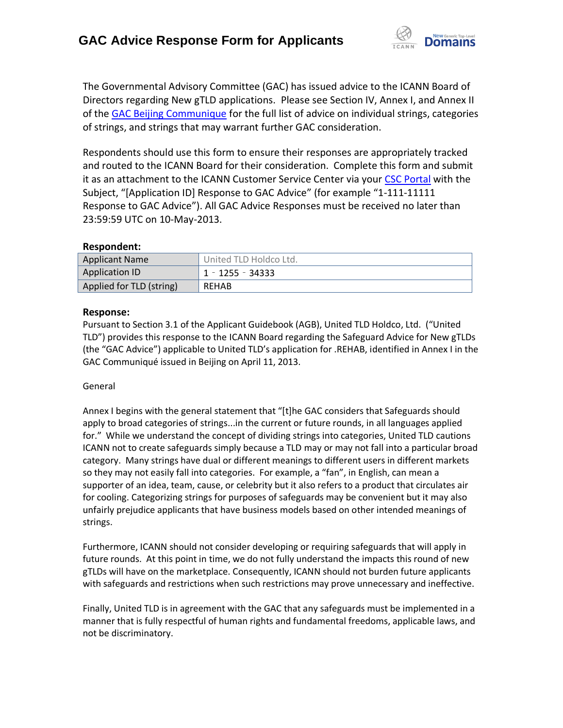

The Governmental Advisory Committee (GAC) has issued advice to the ICANN Board of Directors regarding New gTLD applications. Please see Section IV, Annex I, and Annex II of the [GAC Beijing Communique](http://www.icann.org/en/news/correspondence/gac-to-board-18apr13-en.pdf) for the full list of advice on individual strings, categories of strings, and strings that may warrant further GAC consideration.

Respondents should use this form to ensure their responses are appropriately tracked and routed to the ICANN Board for their consideration. Complete this form and submit it as an attachment to the ICANN Customer Service Center via your CSC [Portal](https://myicann.secure.force.com/) with the Subject, "[Application ID] Response to GAC Advice" (for example "1-111-11111 Response to GAC Advice"). All GAC Advice Responses must be received no later than 23:59:59 UTC on 10-May-2013.

#### **Respondent:**

| <b>Applicant Name</b>    | United TLD Holdco Ltd. |
|--------------------------|------------------------|
| <b>Application ID</b>    | $1 - 1255 - 34333$     |
| Applied for TLD (string) | <b>REHAB</b>           |

#### **Response:**

Pursuant to Section 3.1 of the Applicant Guidebook (AGB), United TLD Holdco, Ltd. ("United TLD") provides this response to the ICANN Board regarding the Safeguard Advice for New gTLDs (the "GAC Advice") applicable to United TLD's application for .REHAB, identified in Annex I in the GAC Communiqué issued in Beijing on April 11, 2013.

#### General

Annex I begins with the general statement that "[t]he GAC considers that Safeguards should apply to broad categories of strings...in the current or future rounds, in all languages applied for." While we understand the concept of dividing strings into categories, United TLD cautions ICANN not to create safeguards simply because a TLD may or may not fall into a particular broad category. Many strings have dual or different meanings to different users in different markets so they may not easily fall into categories. For example, a "fan", in English, can mean a supporter of an idea, team, cause, or celebrity but it also refers to a product that circulates air for cooling. Categorizing strings for purposes of safeguards may be convenient but it may also unfairly prejudice applicants that have business models based on other intended meanings of strings.

Furthermore, ICANN should not consider developing or requiring safeguards that will apply in future rounds. At this point in time, we do not fully understand the impacts this round of new gTLDs will have on the marketplace. Consequently, ICANN should not burden future applicants with safeguards and restrictions when such restrictions may prove unnecessary and ineffective.

Finally, United TLD is in agreement with the GAC that any safeguards must be implemented in a manner that is fully respectful of human rights and fundamental freedoms, applicable laws, and not be discriminatory.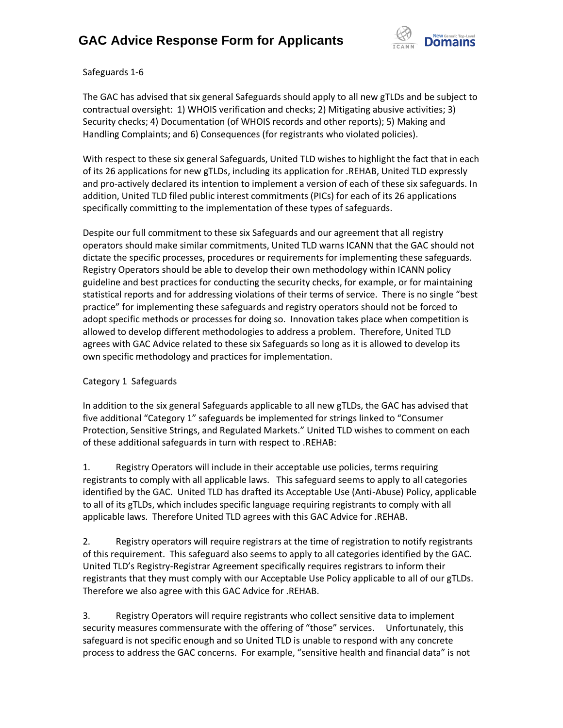

Safeguards 1-6

The GAC has advised that six general Safeguards should apply to all new gTLDs and be subject to contractual oversight: 1) WHOIS verification and checks; 2) Mitigating abusive activities; 3) Security checks; 4) Documentation (of WHOIS records and other reports); 5) Making and Handling Complaints; and 6) Consequences (for registrants who violated policies).

With respect to these six general Safeguards, United TLD wishes to highlight the fact that in each of its 26 applications for new gTLDs, including its application for .REHAB, United TLD expressly and pro-actively declared its intention to implement a version of each of these six safeguards. In addition, United TLD filed public interest commitments (PICs) for each of its 26 applications specifically committing to the implementation of these types of safeguards.

Despite our full commitment to these six Safeguards and our agreement that all registry operators should make similar commitments, United TLD warns ICANN that the GAC should not dictate the specific processes, procedures or requirements for implementing these safeguards. Registry Operators should be able to develop their own methodology within ICANN policy guideline and best practices for conducting the security checks, for example, or for maintaining statistical reports and for addressing violations of their terms of service. There is no single "best practice" for implementing these safeguards and registry operators should not be forced to adopt specific methods or processes for doing so. Innovation takes place when competition is allowed to develop different methodologies to address a problem. Therefore, United TLD agrees with GAC Advice related to these six Safeguards so long as it is allowed to develop its own specific methodology and practices for implementation.

### Category 1 Safeguards

In addition to the six general Safeguards applicable to all new gTLDs, the GAC has advised that five additional "Category 1" safeguards be implemented for strings linked to "Consumer Protection, Sensitive Strings, and Regulated Markets." United TLD wishes to comment on each of these additional safeguards in turn with respect to .REHAB:

1. Registry Operators will include in their acceptable use policies, terms requiring registrants to comply with all applicable laws. This safeguard seems to apply to all categories identified by the GAC. United TLD has drafted its Acceptable Use (Anti-Abuse) Policy, applicable to all of its gTLDs, which includes specific language requiring registrants to comply with all applicable laws. Therefore United TLD agrees with this GAC Advice for .REHAB.

2. Registry operators will require registrars at the time of registration to notify registrants of this requirement. This safeguard also seems to apply to all categories identified by the GAC. United TLD's Registry-Registrar Agreement specifically requires registrars to inform their registrants that they must comply with our Acceptable Use Policy applicable to all of our gTLDs. Therefore we also agree with this GAC Advice for .REHAB.

3. Registry Operators will require registrants who collect sensitive data to implement security measures commensurate with the offering of "those" services. Unfortunately, this safeguard is not specific enough and so United TLD is unable to respond with any concrete process to address the GAC concerns. For example, "sensitive health and financial data" is not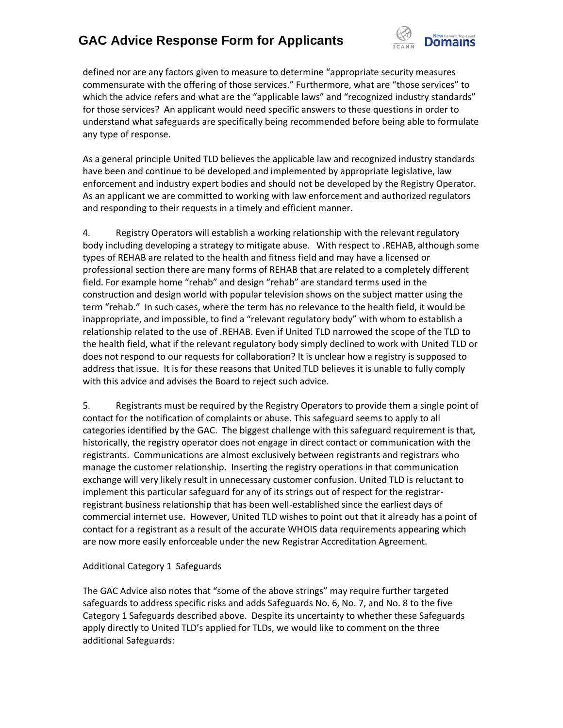

defined nor are any factors given to measure to determine "appropriate security measures commensurate with the offering of those services." Furthermore, what are "those services" to which the advice refers and what are the "applicable laws" and "recognized industry standards" for those services? An applicant would need specific answers to these questions in order to understand what safeguards are specifically being recommended before being able to formulate any type of response.

As a general principle United TLD believes the applicable law and recognized industry standards have been and continue to be developed and implemented by appropriate legislative, law enforcement and industry expert bodies and should not be developed by the Registry Operator. As an applicant we are committed to working with law enforcement and authorized regulators and responding to their requests in a timely and efficient manner.

4. Registry Operators will establish a working relationship with the relevant regulatory body including developing a strategy to mitigate abuse. With respect to .REHAB, although some types of REHAB are related to the health and fitness field and may have a licensed or professional section there are many forms of REHAB that are related to a completely different field. For example home "rehab" and design "rehab" are standard terms used in the construction and design world with popular television shows on the subject matter using the term "rehab." In such cases, where the term has no relevance to the health field, it would be inappropriate, and impossible, to find a "relevant regulatory body" with whom to establish a relationship related to the use of .REHAB. Even if United TLD narrowed the scope of the TLD to the health field, what if the relevant regulatory body simply declined to work with United TLD or does not respond to our requests for collaboration? It is unclear how a registry is supposed to address that issue. It is for these reasons that United TLD believes it is unable to fully comply with this advice and advises the Board to reject such advice.

5. Registrants must be required by the Registry Operators to provide them a single point of contact for the notification of complaints or abuse. This safeguard seems to apply to all categories identified by the GAC. The biggest challenge with this safeguard requirement is that, historically, the registry operator does not engage in direct contact or communication with the registrants. Communications are almost exclusively between registrants and registrars who manage the customer relationship. Inserting the registry operations in that communication exchange will very likely result in unnecessary customer confusion. United TLD is reluctant to implement this particular safeguard for any of its strings out of respect for the registrarregistrant business relationship that has been well-established since the earliest days of commercial internet use. However, United TLD wishes to point out that it already has a point of contact for a registrant as a result of the accurate WHOIS data requirements appearing which are now more easily enforceable under the new Registrar Accreditation Agreement.

#### Additional Category 1 Safeguards

The GAC Advice also notes that "some of the above strings" may require further targeted safeguards to address specific risks and adds Safeguards No. 6, No. 7, and No. 8 to the five Category 1 Safeguards described above. Despite its uncertainty to whether these Safeguards apply directly to United TLD's applied for TLDs, we would like to comment on the three additional Safeguards: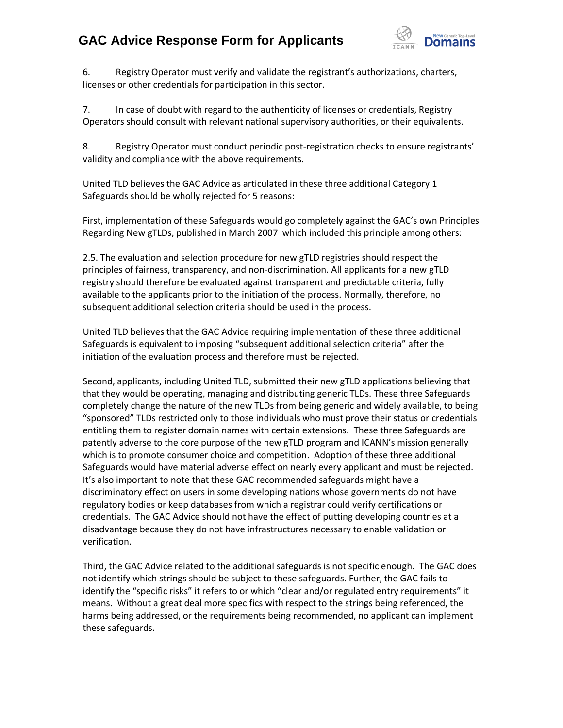

6. Registry Operator must verify and validate the registrant's authorizations, charters, licenses or other credentials for participation in this sector.

7. In case of doubt with regard to the authenticity of licenses or credentials, Registry Operators should consult with relevant national supervisory authorities, or their equivalents.

8. Registry Operator must conduct periodic post-registration checks to ensure registrants' validity and compliance with the above requirements.

United TLD believes the GAC Advice as articulated in these three additional Category 1 Safeguards should be wholly rejected for 5 reasons:

First, implementation of these Safeguards would go completely against the GAC's own Principles Regarding New gTLDs, published in March 2007 which included this principle among others:

2.5. The evaluation and selection procedure for new gTLD registries should respect the principles of fairness, transparency, and non-discrimination. All applicants for a new gTLD registry should therefore be evaluated against transparent and predictable criteria, fully available to the applicants prior to the initiation of the process. Normally, therefore, no subsequent additional selection criteria should be used in the process.

United TLD believes that the GAC Advice requiring implementation of these three additional Safeguards is equivalent to imposing "subsequent additional selection criteria" after the initiation of the evaluation process and therefore must be rejected.

Second, applicants, including United TLD, submitted their new gTLD applications believing that that they would be operating, managing and distributing generic TLDs. These three Safeguards completely change the nature of the new TLDs from being generic and widely available, to being "sponsored" TLDs restricted only to those individuals who must prove their status or credentials entitling them to register domain names with certain extensions. These three Safeguards are patently adverse to the core purpose of the new gTLD program and ICANN's mission generally which is to promote consumer choice and competition. Adoption of these three additional Safeguards would have material adverse effect on nearly every applicant and must be rejected. It's also important to note that these GAC recommended safeguards might have a discriminatory effect on users in some developing nations whose governments do not have regulatory bodies or keep databases from which a registrar could verify certifications or credentials. The GAC Advice should not have the effect of putting developing countries at a disadvantage because they do not have infrastructures necessary to enable validation or verification.

Third, the GAC Advice related to the additional safeguards is not specific enough. The GAC does not identify which strings should be subject to these safeguards. Further, the GAC fails to identify the "specific risks" it refers to or which "clear and/or regulated entry requirements" it means. Without a great deal more specifics with respect to the strings being referenced, the harms being addressed, or the requirements being recommended, no applicant can implement these safeguards.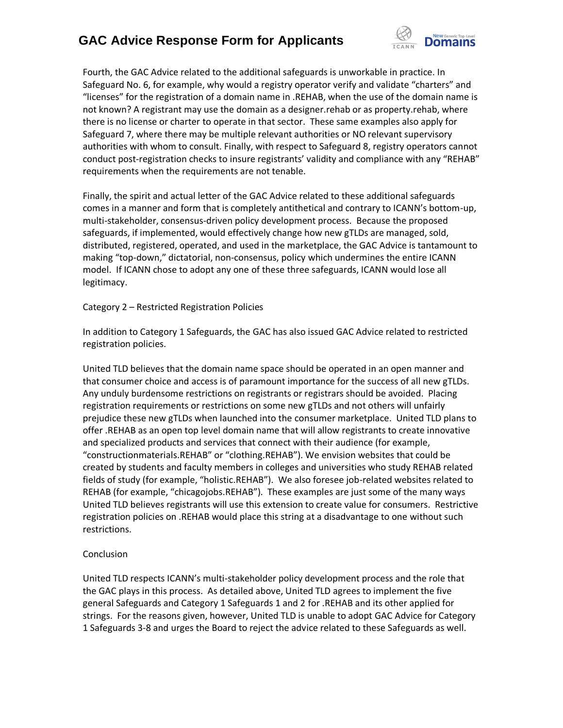

Fourth, the GAC Advice related to the additional safeguards is unworkable in practice. In Safeguard No. 6, for example, why would a registry operator verify and validate "charters" and "licenses" for the registration of a domain name in .REHAB, when the use of the domain name is not known? A registrant may use the domain as a designer.rehab or as property.rehab, where there is no license or charter to operate in that sector. These same examples also apply for Safeguard 7, where there may be multiple relevant authorities or NO relevant supervisory authorities with whom to consult. Finally, with respect to Safeguard 8, registry operators cannot conduct post-registration checks to insure registrants' validity and compliance with any "REHAB" requirements when the requirements are not tenable.

Finally, the spirit and actual letter of the GAC Advice related to these additional safeguards comes in a manner and form that is completely antithetical and contrary to ICANN's bottom-up, multi-stakeholder, consensus-driven policy development process. Because the proposed safeguards, if implemented, would effectively change how new gTLDs are managed, sold, distributed, registered, operated, and used in the marketplace, the GAC Advice is tantamount to making "top-down," dictatorial, non-consensus, policy which undermines the entire ICANN model. If ICANN chose to adopt any one of these three safeguards, ICANN would lose all legitimacy.

Category 2 – Restricted Registration Policies

In addition to Category 1 Safeguards, the GAC has also issued GAC Advice related to restricted registration policies.

United TLD believes that the domain name space should be operated in an open manner and that consumer choice and access is of paramount importance for the success of all new gTLDs. Any unduly burdensome restrictions on registrants or registrars should be avoided. Placing registration requirements or restrictions on some new gTLDs and not others will unfairly prejudice these new gTLDs when launched into the consumer marketplace. United TLD plans to offer .REHAB as an open top level domain name that will allow registrants to create innovative and specialized products and services that connect with their audience (for example, "constructionmaterials.REHAB" or "clothing.REHAB"). We envision websites that could be created by students and faculty members in colleges and universities who study REHAB related fields of study (for example, "holistic.REHAB"). We also foresee job-related websites related to REHAB (for example, "chicagojobs.REHAB"). These examples are just some of the many ways United TLD believes registrants will use this extension to create value for consumers. Restrictive registration policies on .REHAB would place this string at a disadvantage to one without such restrictions.

#### **Conclusion**

United TLD respects ICANN's multi-stakeholder policy development process and the role that the GAC plays in this process. As detailed above, United TLD agrees to implement the five general Safeguards and Category 1 Safeguards 1 and 2 for .REHAB and its other applied for strings. For the reasons given, however, United TLD is unable to adopt GAC Advice for Category 1 Safeguards 3-8 and urges the Board to reject the advice related to these Safeguards as well.